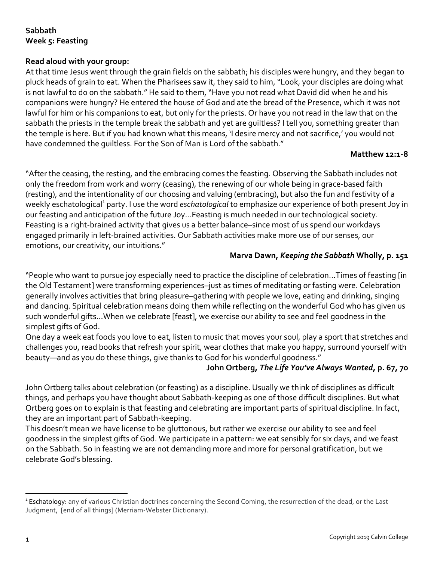# **Sabbath Week 5: Feasting**

## **Read aloud with your group:**

At that time Jesus went through the grain fields on the sabbath; his disciples were hungry, and they began to pluck heads of grain to eat. When the Pharisees saw it, they said to him, "Look, your disciples are doing what is not lawful to do on the sabbath." He said to them, "Have you not read what David did when he and his companions were hungry? He entered the house of God and ate the bread of the Presence, which it was not lawful for him or his companions to eat, but only for the priests. Or have you not read in the law that on the sabbath the priests in the temple break the sabbath and yet are guiltless? I tell you, something greater than the temple is here. But if you had known what this means, 'I desire mercy and not sacrifice,' you would not have condemned the guiltless. For the Son of Man is Lord of the sabbath."

#### **Matthew 12:1-8**

"After the ceasing, the resting, and the embracing comes the feasting. Observing the Sabbath includes not only the freedom from work and worry (ceasing), the renewing of our whole being in grace-based faith (resting), and the intentionality of our choosing and valuing (embracing), but also the fun and festivity of a weekly eschatological<sup>1</sup> party. I use the word *eschatological* to emphasize our experience of both present Joy in our feasting and anticipation of the future Joy…Feasting is much needed in our technological society. Feasting is a right-brained activity that gives us a better balance–since most of us spend our workdays engaged primarily in left-brained activities. Our Sabbath activities make more use of our senses, our emotions, our creativity, our intuitions."

### **Marva Dawn,** *Keeping the Sabbath* **Wholly, p. 151**

"People who want to pursue joy especially need to practice the discipline of celebration...Times of feasting [in the Old Testament] were transforming experiences–just as times of meditating or fasting were. Celebration generally involves activities that bring pleasure–gathering with people we love, eating and drinking, singing and dancing. Spiritual celebration means doing them while reflecting on the wonderful God who has given us such wonderful gifts…When we celebrate [feast], we exercise our ability to see and feel goodness in the simplest gifts of God.

One day a week eat foods you love to eat, listen to music that moves your soul, play a sport that stretches and challenges you, read books that refresh your spirit, wear clothes that make you happy, surround yourself with beauty—and as you do these things, give thanks to God for his wonderful goodness."

### **John Ortberg,** *The Life You've Always Wanted***, p. 67, 70**

John Ortberg talks about celebration (or feasting) as a discipline. Usually we think of disciplines as difficult things, and perhaps you have thought about Sabbath-keeping as one of those difficult disciplines. But what Ortberg goes on to explain is that feasting and celebrating are important parts of spiritual discipline. In fact, they are an important part of Sabbath-keeping.

This doesn't mean we have license to be gluttonous, but rather we exercise our ability to see and feel goodness in the simplest gifts of God. We participate in a pattern: we eat sensibly for six days, and we feast on the Sabbath. So in feasting we are not demanding more and more for personal gratification, but we celebrate God's blessing.

 $\overline{a}$ 

<sup>&</sup>lt;sup>1</sup> Eschatology: any of various Christian doctrines concerning the Second Coming, the resurrection of the dead, or the Last Judgment, [end of all things] (Merriam-Webster Dictionary).